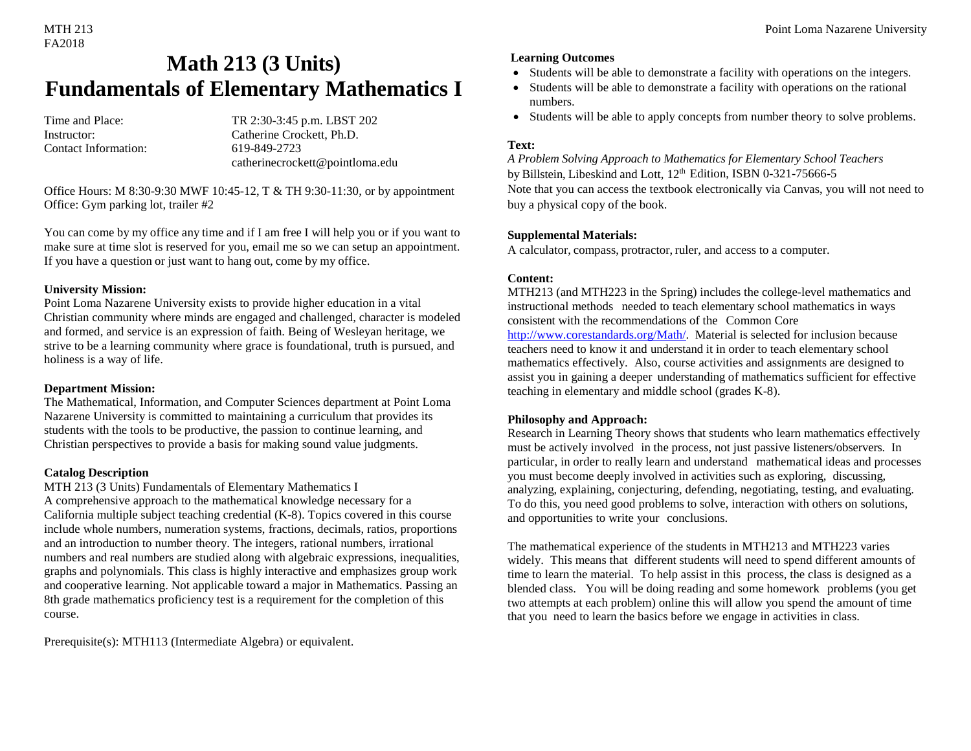# FA2018

## **Math 213 (3 Units) Fundamentals of Elementary Mathematics I**

Contact Information: 619-849-2723

Time and Place: TR 2:30-3:45 p.m. LBST 202 Instructor: Catherine Crockett, Ph.D. catherinecrockett@pointloma.edu

Office Hours: M 8:30-9:30 MWF 10:45-12, T & TH 9:30-11:30, or by appointment Office: Gym parking lot, trailer #2

You can come by my office any time and if I am free I will help you or if you want to make sure at time slot is reserved for you, email me so we can setup an appointment. If you have a question or just want to hang out, come by my office.

#### **University Mission:**

Point Loma Nazarene University exists to provide higher education in a vital Christian community where minds are engaged and challenged, character is modeled and formed, and service is an expression of faith. Being of Wesleyan heritage, we strive to be a learning community where grace is foundational, truth is pursued, and holiness is a way of life.

#### **Department Mission:**

The Mathematical, Information, and Computer Sciences department at Point Loma Nazarene University is committed to maintaining a curriculum that provides its students with the tools to be productive, the passion to continue learning, and Christian perspectives to provide a basis for making sound value judgments.

#### **Catalog Description**

MTH 213 (3 Units) Fundamentals of Elementary Mathematics I A comprehensive approach to the mathematical knowledge necessary for a California multiple subject teaching credential (K-8). Topics covered in this course include whole numbers, numeration systems, fractions, decimals, ratios, proportions and an introduction to number theory. The integers, rational numbers, irrational numbers and real numbers are studied along with algebraic expressions, inequalities, graphs and polynomials. This class is highly interactive and emphasizes group work and cooperative learning. Not applicable toward a major in Mathematics. Passing an 8th grade mathematics proficiency test is a requirement for the completion of this course.

Prerequisite(s): MTH113 (Intermediate Algebra) or equivalent.

#### **Learning Outcomes**

- Students will be able to demonstrate a facility with operations on the integers.
- Students will be able to demonstrate a facility with operations on the rational numbers.
- Students will be able to apply concepts from number theory to solve problems.

#### **Text:**

*A Problem Solving Approach to Mathematics for Elementary School Teachers* by Billstein, Libeskind and Lott, 12<sup>th</sup> Edition, ISBN 0-321-75666-5 Note that you can access the textbook electronically via Canvas, you will not need to buy a physical copy of the book.

#### **Supplemental Materials:**

A calculator, compass, protractor, ruler, and access to a computer.

#### **Content:**

MTH213 (and MTH223 in the Spring) includes the college-level mathematics and instructional methods needed to teach elementary school mathematics in ways consistent with the recommendations of the Common Core [http://www.corestandards.org/Math/.](http://www.corestandards.org/Math/) Material is selected for inclusion because teachers need to know it and understand it in order to teach elementary school mathematics effectively. Also, course activities and assignments are designed to assist you in gaining a deeper understanding of mathematics sufficient for effective teaching in elementary and middle school (grades K-8).

#### **Philosophy and Approach:**

Research in Learning Theory shows that students who learn mathematics effectively must be actively involved in the process, not just passive listeners/observers. In particular, in order to really learn and understand mathematical ideas and processes you must become deeply involved in activities such as exploring, discussing, analyzing, explaining, conjecturing, defending, negotiating, testing, and evaluating. To do this, you need good problems to solve, interaction with others on solutions, and opportunities to write your conclusions.

#### The mathematical experience of the students in MTH213 and MTH223 varies

widely. This means that different students will need to spend different amounts of time to learn the material. To help assist in this process, the class is designed as a blended class. You will be doing reading and some homework problems (you get two attempts at each problem) online this will allow you spend the amount of time that you need to learn the basics before we engage in activities in class.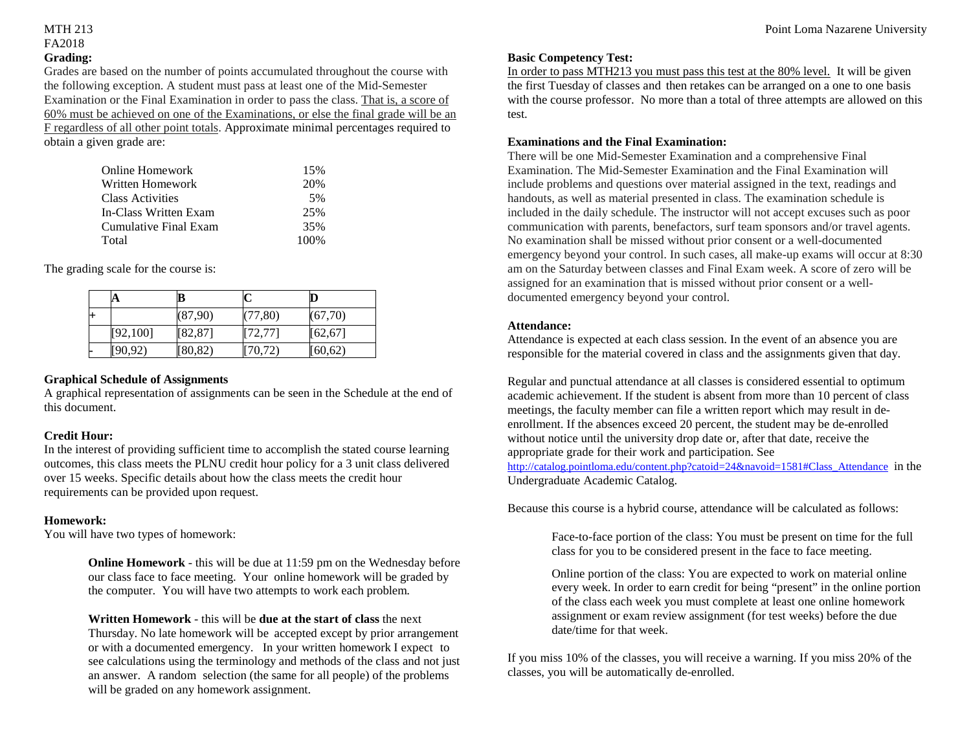### FA2018 **Grading:**

Grades are based on the number of points accumulated throughout the course with the following exception. A student must pass at least one of the Mid-Semester Examination or the Final Examination in order to pass the class. That is, a score of 60% must be achieved on one of the Examinations, or else the final grade will be an F regardless of all other point totals. Approximate minimal percentages required to obtain a given grade are:

| 15%   |
|-------|
| 20%   |
| .5%   |
| 25%   |
| 35%   |
| 100\% |
|       |

The grading scale for the course is:

|      | A         | B        |          |          |
|------|-----------|----------|----------|----------|
| $^+$ |           | (87,90)  | (77, 80) | (67,70)  |
|      | [92, 100] | [82, 87] | [72, 77] | [62, 67] |
|      | [90, 92)  | [80, 82) | [70, 72) | (60, 62) |

#### **Graphical Schedule of Assignments**

A graphical representation of assignments can be seen in the Schedule at the end of this document.

#### **Credit Hour:**

In the interest of providing sufficient time to accomplish the stated course learning outcomes, this class meets the PLNU credit hour policy for a 3 unit class delivered over 15 weeks. Specific details about how the class meets the credit hour requirements can be provided upon request.

#### **Homework:**

You will have two types of homework:

**Online Homework** - this will be due at 11:59 pm on the Wednesday before our class face to face meeting. Your online homework will be graded by the computer. You will have two attempts to work each problem.

**Written Homework** - this will be **due at the start of class** the next

Thursday. No late homework will be accepted except by prior arrangement or with a documented emergency. In your written homework I expect to see calculations using the terminology and methods of the class and not just an answer. A random selection (the same for all people) of the problems will be graded on any homework assignment.

#### **Basic Competency Test:**

In order to pass MTH213 you must pass this test at the 80% level. It will be given the first Tuesday of classes and then retakes can be arranged on a one to one basis with the course professor. No more than a total of three attempts are allowed on this test.

#### **Examinations and the Final Examination:**

There will be one Mid-Semester Examination and a comprehensive Final Examination. The Mid-Semester Examination and the Final Examination will include problems and questions over material assigned in the text, readings and handouts, as well as material presented in class. The examination schedule is included in the daily schedule. The instructor will not accept excuses such as poor communication with parents, benefactors, surf team sponsors and/or travel agents. No examination shall be missed without prior consent or a well-documented emergency beyond your control. In such cases, all make-up exams will occur at 8:30 am on the Saturday between classes and Final Exam week. A score of zero will be assigned for an examination that is missed without prior consent or a welldocumented emergency beyond your control.

#### **Attendance:**

Attendance is expected at each class session. In the event of an absence you are responsible for the material covered in class and the assignments given that day.

Regular and punctual attendance at all classes is considered essential to optimum academic achievement. If the student is absent from more than 10 percent of class meetings, the faculty member can file a written report which may result in deenrollment. If the absences exceed 20 percent, the student may be de-enrolled without notice until the university drop date or, after that date, receive the appropriate grade for their work and participation. See

[http://catalog.pointloma.edu/content.php?catoid=24&navoid=1581#Class\\_Attendance](http://catalog.pointloma.edu/content.php?catoid=24&navoid=1581#Class_Attendance) in the Undergraduate Academic Catalog.

Because this course is a hybrid course, attendance will be calculated as follows:

Face-to-face portion of the class: You must be present on time for the full class for you to be considered present in the face to face meeting.

Online portion of the class: You are expected to work on material online every week. In order to earn credit for being "present" in the online portion of the class each week you must complete at least one online homework assignment or exam review assignment (for test weeks) before the due date/time for that week.

If you miss 10% of the classes, you will receive a warning. If you miss 20% of the classes, you will be automatically de-enrolled.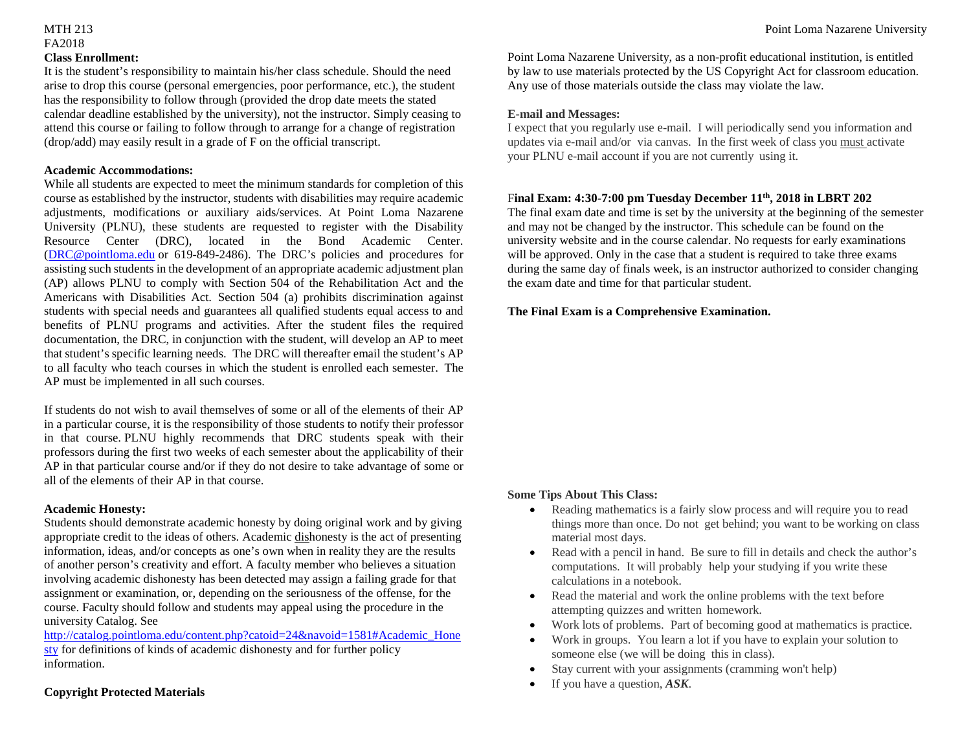## FA2018 **Class Enrollment:**

It is the student's responsibility to maintain his/her class schedule. Should the need arise to drop this course (personal emergencies, poor performance, etc.), the student has the responsibility to follow through (provided the drop date meets the stated calendar deadline established by the university), not the instructor. Simply ceasing to attend this course or failing to follow through to arrange for a change of registration (drop/add) may easily result in a grade of F on the official transcript.

#### **Academic Accommodations:**

While all students are expected to meet the minimum standards for completion of this course as established by the instructor, students with disabilities may require academic adjustments, modifications or auxiliary aids/services. At Point Loma Nazarene University (PLNU), these students are requested to register with the Disability Resource Center (DRC), located in the Bond Academic Center. [\(DRC@pointloma.edu](mailto:DRC@pointloma.edu) or 619-849-2486). The DRC's policies and procedures for assisting such students in the development of an appropriate academic adjustment plan (AP) allows PLNU to comply with Section 504 of the Rehabilitation Act and the Americans with Disabilities Act. Section 504 (a) prohibits discrimination against students with special needs and guarantees all qualified students equal access to and benefits of PLNU programs and activities. After the student files the required documentation, the DRC, in conjunction with the student, will develop an AP to meet that student's specific learning needs. The DRC will thereafter email the student's AP to all faculty who teach courses in which the student is enrolled each semester. The AP must be implemented in all such courses.

If students do not wish to avail themselves of some or all of the elements of their AP in a particular course, it is the responsibility of those students to notify their professor in that course. PLNU highly recommends that DRC students speak with their professors during the first two weeks of each semester about the applicability of their AP in that particular course and/or if they do not desire to take advantage of some or all of the elements of their AP in that course.

#### **Academic Honesty:**

Students should demonstrate academic honesty by doing original work and by giving appropriate credit to the ideas of others. Academic dishonesty is the act of presenting information, ideas, and/or concepts as one's own when in reality they are the results of another person's creativity and effort. A faculty member who believes a situation involving academic dishonesty has been detected may assign a failing grade for that assignment or examination, or, depending on the seriousness of the offense, for the course. Faculty should follow and students may appeal using the procedure in the university Catalog. See

[http://catalog.pointloma.edu/content.php?catoid=24&navoid=1581#Academic\\_Hone](http://catalog.pointloma.edu/content.php?catoid=24&navoid=1581#Academic_Honesty) [sty](http://catalog.pointloma.edu/content.php?catoid=24&navoid=1581#Academic_Honesty) for definitions of kinds of academic dishonesty and for further policy information.

#### **Copyright Protected Materials**

Point Loma Nazarene University, as a non-profit educational institution, is entitled by law to use materials protected by the US Copyright Act for classroom education. Any use of those materials outside the class may violate the law.

#### **E-mail and Messages:**

I expect that you regularly use e-mail. I will periodically send you information and updates via e-mail and/or via canvas. In the first week of class you must activate your PLNU e-mail account if you are not currently using it.

#### F**inal Exam: 4:30-7:00 pm Tuesday December 11th, 2018 in LBRT 202**

The final exam date and time is set by the university at the beginning of the semester and may not be changed by the instructor. This schedule can be found on the university website and in the course calendar. No requests for early examinations will be approved. Only in the case that a student is required to take three exams during the same day of finals week, is an instructor authorized to consider changing the exam date and time for that particular student.

#### **The Final Exam is a Comprehensive Examination.**

#### **Some Tips About This Class:**

- Reading mathematics is a fairly slow process and will require you to read things more than once. Do not get behind; you want to be working on class material most days.
- Read with a pencil in hand. Be sure to fill in details and check the author's computations. It will probably help your studying if you write these calculations in a notebook.
- Read the material and work the online problems with the text before attempting quizzes and written homework.
- Work lots of problems. Part of becoming good at mathematics is practice.
- Work in groups. You learn a lot if you have to explain your solution to someone else (we will be doing this in class).
- Stay current with your assignments (cramming won't help)
- If you have a question, *ASK*.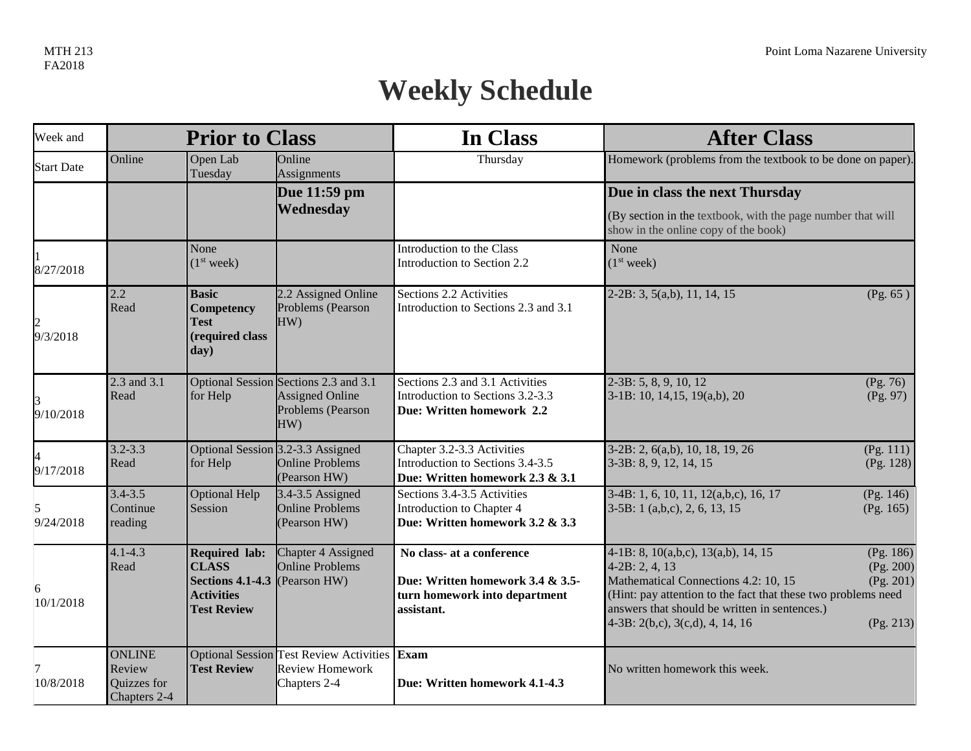# **Weekly Schedule**

| Week and          |                                                        | <b>Prior to Class</b>                                                                                      |                                                                                             | In Class                                                                                                     | <b>After Class</b>                                                                                                                                                                                                                                     |                                                  |
|-------------------|--------------------------------------------------------|------------------------------------------------------------------------------------------------------------|---------------------------------------------------------------------------------------------|--------------------------------------------------------------------------------------------------------------|--------------------------------------------------------------------------------------------------------------------------------------------------------------------------------------------------------------------------------------------------------|--------------------------------------------------|
| <b>Start Date</b> | Online                                                 | Open Lab<br>Tuesday                                                                                        | Online<br>Assignments                                                                       | Thursday                                                                                                     | Homework (problems from the textbook to be done on paper).                                                                                                                                                                                             |                                                  |
|                   |                                                        |                                                                                                            | Due 11:59 pm<br>Wednesday                                                                   |                                                                                                              | Due in class the next Thursday<br>(By section in the textbook, with the page number that will<br>show in the online copy of the book)                                                                                                                  |                                                  |
| 8/27/2018         |                                                        | None<br>(1 <sup>st</sup> week)                                                                             |                                                                                             | Introduction to the Class<br>Introduction to Section 2.2                                                     | None<br>(1 <sup>st</sup> week)                                                                                                                                                                                                                         |                                                  |
| 9/3/2018          | 2.2<br>Read                                            | <b>Basic</b><br>Competency<br><b>Test</b><br>(required class<br>day)                                       | 2.2 Assigned Online<br>Problems (Pearson<br>HW)                                             | Sections 2.2 Activities<br>Introduction to Sections 2.3 and 3.1                                              | $2-2B: 3, 5(a,b), 11, 14, 15$                                                                                                                                                                                                                          | (Pg. 65)                                         |
| 9/10/2018         | 2.3 and 3.1<br>Read                                    | for Help                                                                                                   | Optional Session Sections 2.3 and 3.1<br><b>Assigned Online</b><br>Problems (Pearson<br>HW) | Sections 2.3 and 3.1 Activities<br>Introduction to Sections 3.2-3.3<br>Due: Written homework 2.2             | $2-3B: 5, 8, 9, 10, 12$<br>$3-1B: 10, 14, 15, 19(a,b), 20$                                                                                                                                                                                             | (Pg. 76)<br>(Pg. 97)                             |
| 9/17/2018         | $3.2 - 3.3$<br>Read                                    | for Help                                                                                                   | Optional Session 3.2-3.3 Assigned<br><b>Online Problems</b><br>(Pearson HW)                 | Chapter 3.2-3.3 Activities<br>Introduction to Sections 3.4-3.5<br>Due: Written homework 2.3 & 3.1            | 3-2B: 2, 6(a,b), 10, 18, 19, 26<br>3-3B: 8, 9, 12, 14, 15                                                                                                                                                                                              | (Pg. 111)<br>(Pg. 128)                           |
| 9/24/2018         | $3.4 - 3.5$<br>Continue<br>reading                     | Optional Help<br>Session                                                                                   | 3.4-3.5 Assigned<br><b>Online Problems</b><br>(Pearson HW)                                  | Sections 3.4-3.5 Activities<br>Introduction to Chapter 4<br>Due: Written homework 3.2 & 3.3                  | 3-4B: 1, 6, 10, 11, 12(a,b,c), 16, 17<br>$3-5B: 1$ (a,b,c), 2, 6, 13, 15                                                                                                                                                                               | (Pg. 146)<br>(Pg. 165)                           |
| 16<br>10/1/2018   | $4.1 - 4.3$<br>Read                                    | <b>Required lab:</b><br><b>CLASS</b><br><b>Sections 4.1-4.3</b><br><b>Activities</b><br><b>Test Review</b> | Chapter 4 Assigned<br><b>Online Problems</b><br>(Pearson HW)                                | No class- at a conference<br>Due: Written homework 3.4 & 3.5-<br>turn homework into department<br>assistant. | 4-1B: 8, 10(a,b,c), 13(a,b), 14, 15<br>$4-2B: 2, 4, 13$<br>Mathematical Connections 4.2: 10, 15<br>(Hint: pay attention to the fact that these two problems need<br>answers that should be written in sentences.)<br>$4-3B: 2(b,c), 3(c,d), 4, 14, 16$ | (Pg. 186)<br>(Pg. 200)<br>(Pg. 201)<br>(Pg. 213) |
| 10/8/2018         | <b>ONLINE</b><br>Review<br>Quizzes for<br>Chapters 2-4 | <b>Test Review</b>                                                                                         | <b>Optional Session Test Review Activities</b><br><b>Review Homework</b><br>Chapters 2-4    | Exam<br>Due: Written homework 4.1-4.3                                                                        | No written homework this week.                                                                                                                                                                                                                         |                                                  |